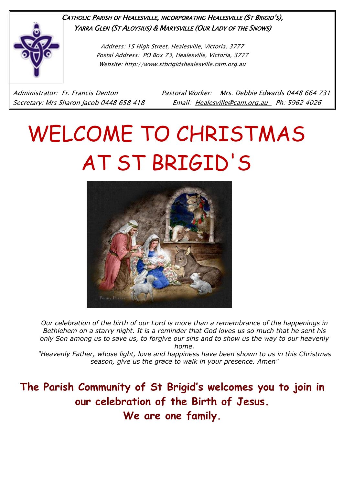

CATHOLIC PARISH OF HEALESVILLE, INCORPORATING HEALESVILLE (ST BRIGID'S), YARRA GLEN (ST ALOYSIUS) & MARYSVILLE (OUR LADY OF THE SNOWS)

> Address: 15 High Street, Healesville, Victoria, 3777 Postal Address: PO Box 73, Healesville, Victoria, 3777 Website: [http://www.stbrigidshealesville.cam.org.au](http://www.stbrigidshealesville.cam.org.au/)

Administrator: Fr. Francis Denton Pastoral Worker: Mrs. Debbie Edwards 0448 664 731 Secretary: Mrs Sharon Jacob 0448 658 418 Email: [Healesville@cam.org.au](mailto:Healesville@cam.org.au) Ph: 5962 4026

# WELCOME TO CHRISTMAS AT ST BRIGID'S



*Our celebration of the birth of our Lord is more than a remembrance of the happenings in Bethlehem on a starry night. It is a reminder that God loves us so much that he sent his only Son among us to save us, to forgive our sins and to show us the way to our heavenly home.*

*"Heavenly Father, whose light, love and happiness have been shown to us in this Christmas season, give us the grace to walk in your presence. Amen"*

**The Parish Community of St Brigid's welcomes you to join in our celebration of the Birth of Jesus. We are one family.**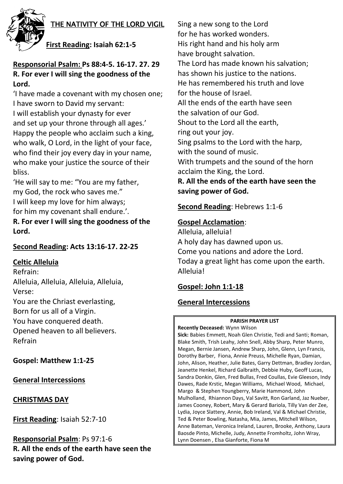

## THE NATIVITY OF THE LORD VIGIL

# **First Reading: Isaiah 62:1-5**

# **Responsorial Psalm: Ps 88:4-5. 16-17. 27. 29 R. For ever I will sing the goodness of the Lord.**

'I have made a covenant with my chosen one; I have sworn to David my servant: I will establish your dynasty for ever and set up your throne through all ages.' Happy the people who acclaim such a king, who walk, O Lord, in the light of your face, who find their joy every day in your name, who make your justice the source of their bliss.

'He will say to me: "You are my father, my God, the rock who saves me." I will keep my love for him always;

for him my covenant shall endure.'.

**R. For ever I will sing the goodness of the Lord.**

## **Second Reading: Acts 13:16-17. 22-25**

## **Celtic Alleluia**

Refrain: Alleluia, Alleluia, Alleluia, Alleluia, Verse: You are the Chriast everlasting, Born for us all of a Virgin. You have conquered death. Opened heaven to all believers. Refrain

**Gospel: Matthew 1:1-25**

## **General Intercessions**

## **CHRISTMAS DAY**

**First Reading**: Isaiah 52:7-10

**Responsorial Psalm**: Ps 97:1-6 **R. All the ends of the earth have seen the saving power of God.**

Sing a new song to the Lord for he has worked wonders. His right hand and his holy arm have brought salvation. The Lord has made known his salvation; has shown his justice to the nations. He has remembered his truth and love for the house of Israel. All the ends of the earth have seen the salvation of our God. Shout to the Lord all the earth, ring out your joy. Sing psalms to the Lord with the harp, with the sound of music. With trumpets and the sound of the horn acclaim the King, the Lord.

**R. All the ends of the earth have seen the saving power of God.**

## **Second Reading**: Hebrews 1:1-6

## **Gospel Acclamation**:

Alleluia, alleluia! A holy day has dawned upon us. Come you nations and adore the Lord. Today a great light has come upon the earth. Alleluia!

# **Gospel: John 1:1-18**

# **General Intercessions**

#### **PARISH PRAYER LIST**

**Recently Deceased:** Wynn Wilson **Sick:** Babies Emmett, Noah Glen Christie, Tedi and Santi; Roman, Blake Smith, Trish Leahy, John Snell, Abby Sharp, Peter Munro, Megan, Bernie Jansen, Andrew Sharp, John, Glenn, Lyn Francis, Dorothy Barber, Fiona, Annie Preuss, Michelle Ryan, Damian, John, Alison, Heather, Julie Bates, Garry Dettman, Bradley Jordan, Jeanette Henkel, Richard Galbraith, Debbie Huby, Geoff Lucas, Sandra Donkin, Glen, Fred Bullas, Fred Coullas, Evie Gleeson, Indy Dawes, Rade Krstic, Megan Williams, Michael Wood, Michael, Margo & Stephen Youngberry, Marie Hammond, John Mulholland, Rhiannon Days, Val Savitt, Ron Garland, Jaz Nueber, James Cooney, Robert, Mary & Gerard Bariola, Tilly Van der Zee, Lydia, Joyce Slattery, Annie, Bob Ireland, Val & Michael Christie, Ted & Peter Bowling, Natasha, Mia, James, Mitchell Wilson, Anne Bateman, Veronica Ireland, Lauren, Brooke, Anthony, Laura Baosde Pinto, Michelle, Judy, Annette Fromholtz, John Wray, Lynn Doensen , Elsa Gianforte, Fiona M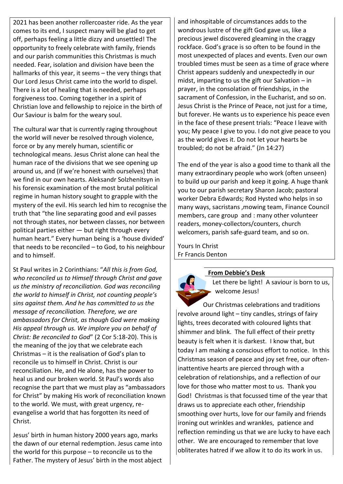2021 has been another rollercoaster ride. As the year comes to its end, I suspect many will be glad to get off, perhaps feeling a little dizzy and unsettled! The opportunity to freely celebrate with family, friends and our parish communities this Christmas is much needed. Fear, isolation and division have been the hallmarks of this year, it seems – the very things that Our Lord Jesus Christ came into the world to dispel. There is a lot of healing that is needed, perhaps forgiveness too. Coming together in a spirit of Christian love and fellowship to rejoice in the birth of Our Saviour is balm for the weary soul.

The cultural war that is currently raging throughout the world will never be resolved through violence, force or by any merely human, scientific or technological means. Jesus Christ alone can heal the human race of the divisions that we see opening up around us, and (if we're honest with ourselves) that we find in our own hearts. Aleksandr Solzhenitsyn in his forensic examination of the most brutal political regime in human history sought to grapple with the mystery of the evil. His search led him to recognise the truth that "the line separating good and evil passes not through states, nor between classes, nor between political parties either  $-$  but right through every human heart." Every human being is a 'house divided' that needs to be reconciled – to God, to his neighbour and to himself.

St Paul writes in 2 Corinthians: "*All this is from God, who reconciled us to Himself through Christ and gave us the ministry of reconciliation. God was reconciling the world to himself in Christ, not counting people's sins against them. And he has committed to us the message of reconciliation. Therefore, we are ambassadors for Christ, as though God were making His appeal through us. We implore you on behalf of Christ: Be reconciled to God*" (2 Cor 5:18-20). This is the meaning of the joy that we celebrate each Christmas – it is the realisation of God's plan to reconcile us to himself in Christ. Christ is our reconciliation. He, and He alone, has the power to heal us and our broken world. St Paul's words also recognise the part that we must play as "ambassadors for Christ" by making His work of reconciliation known to the world. We must, with great urgency, reevangelise a world that has forgotten its need of Christ.

Jesus' birth in human history 2000 years ago, marks the dawn of our eternal redemption. Jesus came into the world for this purpose – to reconcile us to the Father. The mystery of Jesus' birth in the most abject

and inhospitable of circumstances adds to the wondrous lustre of the gift God gave us, like a precious jewel discovered gleaming in the craggy rockface. God's grace is so often to be found in the most unexpected of places and events. Even our own troubled times must be seen as a time of grace where Christ appears suddenly and unexpectedly in our midst, imparting to us the gift our Salvation  $-$  in prayer, in the consolation of friendships, in the sacrament of Confession, in the Eucharist, and so on. Jesus Christ is the Prince of Peace, not just for a time, but forever. He wants us to experience his peace even in the face of these present trials: "Peace I leave with you; My peace I give to you. I do not give peace to you as the world gives it. Do not let your hearts be troubled; do not be afraid." (Jn 14:27)

The end of the year is also a good time to thank all the many extraordinary people who work (often unseen) to build up our parish and keep it going. A huge thank you to our parish secretary Sharon Jacob; pastoral worker Debra Edwards; Rod Hysted who helps in so many ways, sacristans ,mowing team, Finance Council members, care group and : many other volunteer readers, money-collectors/counters, church welcomers, parish safe-guard team, and so on.

Yours In Christ Fr Francis Denton

#### **From Debbie's Desk**



Let there be light! A saviour is born to us, welcome Jesus!

Our Christmas celebrations and traditions revolve around light – tiny candles, strings of fairy lights, trees decorated with coloured lights that shimmer and blink. The full effect of their pretty beauty is felt when it is darkest. I know that, but today I am making a conscious effort to notice. In this Christmas season of peace and joy set free, our ofteninattentive hearts are pierced through with a celebration of relationships, and a reflection of our love for those who matter most to us. Thank you God! Christmas is that focussed time of the year that draws us to appreciate each other, friendship smoothing over hurts, love for our family and friends ironing out wrinkles and wrankles, patience and reflection reminding us that we are lucky to have each other. We are encouraged to remember that love obliterates hatred if we allow it to do its work in us.